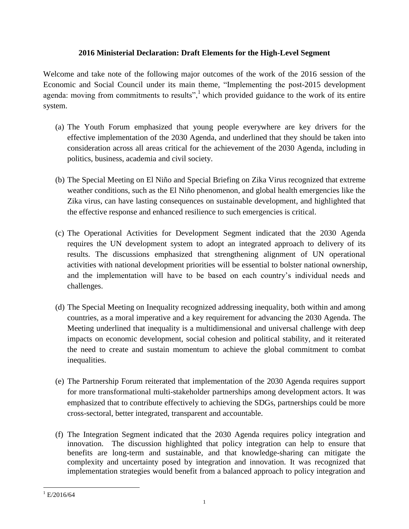## **2016 Ministerial Declaration: Draft Elements for the High-Level Segment**

Welcome and take note of the following major outcomes of the work of the 2016 session of the Economic and Social Council under its main theme, "Implementing the post-2015 development agenda: moving from commitments to results",<sup>1</sup> which provided guidance to the work of its entire system.

- (a) The Youth Forum emphasized that young people everywhere are key drivers for the effective implementation of the 2030 Agenda, and underlined that they should be taken into consideration across all areas critical for the achievement of the 2030 Agenda, including in politics, business, academia and civil society.
- (b) The Special Meeting on El Niño and Special Briefing on Zika Virus recognized that extreme weather conditions, such as the El Niño phenomenon, and global health emergencies like the Zika virus, can have lasting consequences on sustainable development, and highlighted that the effective response and enhanced resilience to such emergencies is critical.
- (c) The Operational Activities for Development Segment indicated that the 2030 Agenda requires the UN development system to adopt an integrated approach to delivery of its results. The discussions emphasized that strengthening alignment of UN operational activities with national development priorities will be essential to bolster national ownership, and the implementation will have to be based on each country's individual needs and challenges.
- (d) The Special Meeting on Inequality recognized addressing inequality, both within and among countries, as a moral imperative and a key requirement for advancing the 2030 Agenda. The Meeting underlined that inequality is a multidimensional and universal challenge with deep impacts on economic development, social cohesion and political stability, and it reiterated the need to create and sustain momentum to achieve the global commitment to combat inequalities.
- (e) The Partnership Forum reiterated that implementation of the 2030 Agenda requires support for more transformational multi-stakeholder partnerships among development actors. It was emphasized that to contribute effectively to achieving the SDGs, partnerships could be more cross-sectoral, better integrated, transparent and accountable.
- (f) The Integration Segment indicated that the 2030 Agenda requires policy integration and innovation. The discussion highlighted that policy integration can help to ensure that benefits are long-term and sustainable, and that knowledge-sharing can mitigate the complexity and uncertainty posed by integration and innovation. It was recognized that implementation strategies would benefit from a balanced approach to policy integration and

 $\overline{a}$  $^{1}$ E/2016/64